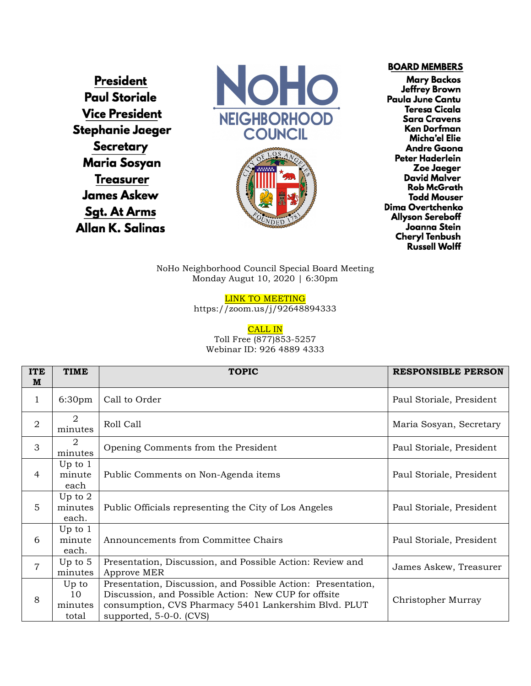**President Paul Storiale Vice President** Stephanie Jaeger **Secretary Maria Sosyan Treasurer James Askew Sgt. At Arms** Allan K. Salinas





**BOARD MEMBERS** 

**Mary Backos Jeffrey Brown** Paula June Cantu **Teresa Cicala Sara Cravens Ken Dorfman** Micha'el Elie **Andre Gaona** Peter Haderlein Zoe Jaeger David Malver **Rob McGrath Todd Mouser** Dima Overtchenko **Allyson Sereboff** Joanna Stein **Cheryl Tenbush Russell Wolff** 

NoHo Neighborhood Council Special Board Meeting Monday Augut 10, 2020 | 6:30pm

LINK TO MEETING

https://zoom.us/j/92648894333

CALL IN

Toll Free (877)853-5257 Webinar ID: 926 4889 4333

| <b>ITE</b><br>M | <b>TIME</b>                     | <b>TOPIC</b>                                                                                                                                                                                            | <b>RESPONSIBLE PERSON</b> |
|-----------------|---------------------------------|---------------------------------------------------------------------------------------------------------------------------------------------------------------------------------------------------------|---------------------------|
| 1               | 6:30 <sub>pm</sub>              | Call to Order                                                                                                                                                                                           | Paul Storiale, President  |
| 2               | 2<br>minutes                    | Roll Call                                                                                                                                                                                               | Maria Sosyan, Secretary   |
| 3               | 2<br>minutes                    | Opening Comments from the President                                                                                                                                                                     | Paul Storiale, President  |
| $\overline{4}$  | Up to $1$<br>minute<br>each     | Public Comments on Non-Agenda items                                                                                                                                                                     | Paul Storiale, President  |
| 5               | Up to $2$<br>minutes<br>each.   | Public Officials representing the City of Los Angeles                                                                                                                                                   | Paul Storiale, President  |
| 6               | Up to $1$<br>minute<br>each.    | Announcements from Committee Chairs                                                                                                                                                                     | Paul Storiale, President  |
| $\overline{7}$  | Up to $5$<br>minutes            | Presentation, Discussion, and Possible Action: Review and<br>Approve MER                                                                                                                                | James Askew, Treasurer    |
| 8               | Up to<br>10<br>minutes<br>total | Presentation, Discussion, and Possible Action: Presentation,<br>Discussion, and Possible Action: New CUP for offsite<br>consumption, CVS Pharmacy 5401 Lankershim Blvd. PLUT<br>supported, 5-0-0. (CVS) | Christopher Murray        |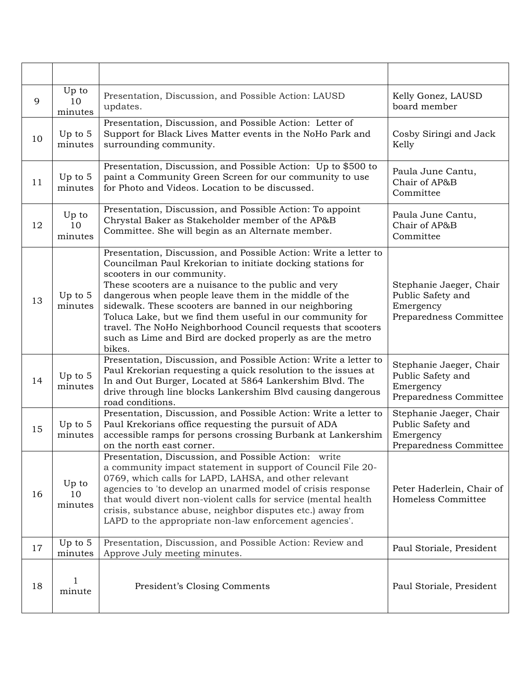| 9  | Up to<br>10<br>minutes | Presentation, Discussion, and Possible Action: LAUSD<br>updates.                                                                                                                                                                                                                                                                                                                                                                                                                                                                             | Kelly Gonez, LAUSD<br>board member                                                  |
|----|------------------------|----------------------------------------------------------------------------------------------------------------------------------------------------------------------------------------------------------------------------------------------------------------------------------------------------------------------------------------------------------------------------------------------------------------------------------------------------------------------------------------------------------------------------------------------|-------------------------------------------------------------------------------------|
| 10 | Up to $5$<br>minutes   | Presentation, Discussion, and Possible Action: Letter of<br>Support for Black Lives Matter events in the NoHo Park and<br>surrounding community.                                                                                                                                                                                                                                                                                                                                                                                             | Cosby Siringi and Jack<br>Kelly                                                     |
| 11 | Up to 5<br>minutes     | Presentation, Discussion, and Possible Action: Up to \$500 to<br>paint a Community Green Screen for our community to use<br>for Photo and Videos. Location to be discussed.                                                                                                                                                                                                                                                                                                                                                                  | Paula June Cantu,<br>Chair of AP&B<br>Committee                                     |
| 12 | Up to<br>10<br>minutes | Presentation, Discussion, and Possible Action: To appoint<br>Chrystal Baker as Stakeholder member of the AP&B<br>Committee. She will begin as an Alternate member.                                                                                                                                                                                                                                                                                                                                                                           | Paula June Cantu,<br>Chair of AP&B<br>Committee                                     |
| 13 | Up to 5<br>minutes     | Presentation, Discussion, and Possible Action: Write a letter to<br>Councilman Paul Krekorian to initiate docking stations for<br>scooters in our community.<br>These scooters are a nuisance to the public and very<br>dangerous when people leave them in the middle of the<br>sidewalk. These scooters are banned in our neighboring<br>Toluca Lake, but we find them useful in our community for<br>travel. The NoHo Neighborhood Council requests that scooters<br>such as Lime and Bird are docked properly as are the metro<br>bikes. | Stephanie Jaeger, Chair<br>Public Safety and<br>Emergency<br>Preparedness Committee |
| 14 | Up to $5$<br>minutes   | Presentation, Discussion, and Possible Action: Write a letter to<br>Paul Krekorian requesting a quick resolution to the issues at<br>In and Out Burger, Located at 5864 Lankershim Blvd. The<br>drive through line blocks Lankershim Blvd causing dangerous<br>road conditions.                                                                                                                                                                                                                                                              | Stephanie Jaeger, Chair<br>Public Safety and<br>Emergency<br>Preparedness Committee |
| 15 | Up to $5$<br>minutes   | Presentation, Discussion, and Possible Action: Write a letter to<br>Paul Krekorians office requesting the pursuit of ADA<br>accessible ramps for persons crossing Burbank at Lankershim<br>on the north east corner.                                                                                                                                                                                                                                                                                                                         | Stephanie Jaeger, Chair<br>Public Safety and<br>Emergency<br>Preparedness Committee |
| 16 | Up to<br>10<br>minutes | Presentation, Discussion, and Possible Action: write<br>a community impact statement in support of Council File 20-<br>0769, which calls for LAPD, LAHSA, and other relevant<br>agencies to 'to develop an unarmed model of crisis response<br>that would divert non-violent calls for service (mental health<br>crisis, substance abuse, neighbor disputes etc.) away from<br>LAPD to the appropriate non-law enforcement agencies'.                                                                                                        | Peter Haderlein, Chair of<br>Homeless Committee                                     |
| 17 | Up to $5$<br>minutes   | Presentation, Discussion, and Possible Action: Review and<br>Approve July meeting minutes.                                                                                                                                                                                                                                                                                                                                                                                                                                                   | Paul Storiale, President                                                            |
| 18 | $\mathbf{1}$<br>minute | President's Closing Comments                                                                                                                                                                                                                                                                                                                                                                                                                                                                                                                 | Paul Storiale, President                                                            |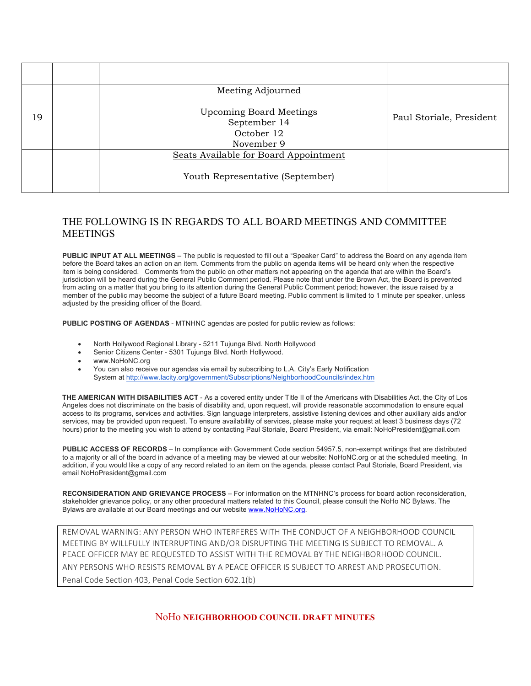|    | Meeting Adjourned                                                          |                          |
|----|----------------------------------------------------------------------------|--------------------------|
| 19 | <b>Upcoming Board Meetings</b><br>September 14<br>October 12<br>November 9 | Paul Storiale, President |
|    | Seats Available for Board Appointment                                      |                          |
|    | Youth Representative (September)                                           |                          |

## THE FOLLOWING IS IN REGARDS TO ALL BOARD MEETINGS AND COMMITTEE **MEETINGS**

**PUBLIC INPUT AT ALL MEETINGS** – The public is requested to fill out a "Speaker Card" to address the Board on any agenda item before the Board takes an action on an item. Comments from the public on agenda items will be heard only when the respective item is being considered. Comments from the public on other matters not appearing on the agenda that are within the Board's jurisdiction will be heard during the General Public Comment period. Please note that under the Brown Act, the Board is prevented from acting on a matter that you bring to its attention during the General Public Comment period; however, the issue raised by a member of the public may become the subject of a future Board meeting. Public comment is limited to 1 minute per speaker, unless adjusted by the presiding officer of the Board.

**PUBLIC POSTING OF AGENDAS** - MTNHNC agendas are posted for public review as follows:

- North Hollywood Regional Library 5211 Tujunga Blvd. North Hollywood
- Senior Citizens Center 5301 Tujunga Blvd. North Hollywood.
- www.NoHoNC.org
- You can also receive our agendas via email by subscribing to L.A. City's Early Notification System at http://www.lacity.org/government/Subscriptions/NeighborhoodCouncils/index.htm

**THE AMERICAN WITH DISABILITIES ACT** - As a covered entity under Title II of the Americans with Disabilities Act, the City of Los Angeles does not discriminate on the basis of disability and, upon request, will provide reasonable accommodation to ensure equal access to its programs, services and activities. Sign language interpreters, assistive listening devices and other auxiliary aids and/or services, may be provided upon request. To ensure availability of services, please make your request at least 3 business days (72 hours) prior to the meeting you wish to attend by contacting Paul Storiale, Board President, via email: NoHoPresident@gmail.com

**PUBLIC ACCESS OF RECORDS** – In compliance with Government Code section 54957.5, non-exempt writings that are distributed to a majority or all of the board in advance of a meeting may be viewed at our website: NoHoNC.org or at the scheduled meeting. In addition, if you would like a copy of any record related to an item on the agenda, please contact Paul Storiale, Board President, via email NoHoPresident@gmail.com

**RECONSIDERATION AND GRIEVANCE PROCESS** – For information on the MTNHNC's process for board action reconsideration, stakeholder grievance policy, or any other procedural matters related to this Council, please consult the NoHo NC Bylaws. The Bylaws are available at our Board meetings and our website www.NoHoNC.org.

REMOVAL WARNING: ANY PERSON WHO INTERFERES WITH THE CONDUCT OF A NEIGHBORHOOD COUNCIL MEETING BY WILLFULLY INTERRUPTING AND/OR DISRUPTING THE MEETING IS SUBJECT TO REMOVAL. A PEACE OFFICER MAY BE REQUESTED TO ASSIST WITH THE REMOVAL BY THE NEIGHBORHOOD COUNCIL. ANY PERSONS WHO RESISTS REMOVAL BY A PEACE OFFICER IS SUBJECT TO ARREST AND PROSECUTION. Penal Code Section 403, Penal Code Section 602.1(b)

NoHo **NEIGHBORHOOD COUNCIL DRAFT MINUTES**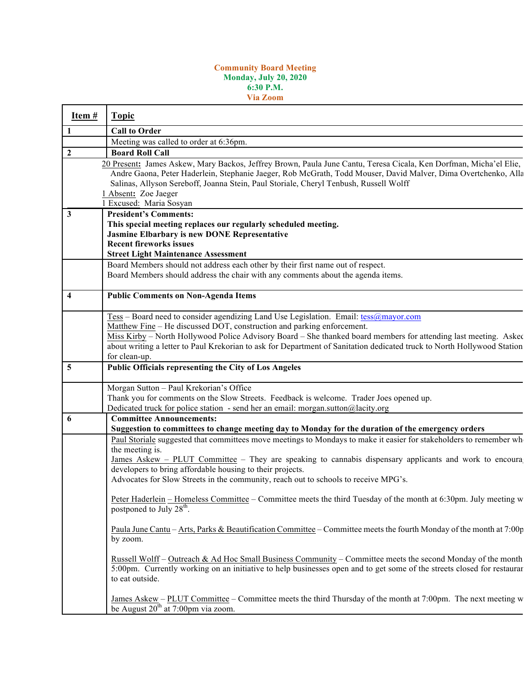## **Community Board Meeting Monday, July 20, 2020 6:30 P.M. Via Zoom**

| Item #                  | <b>Topic</b>                                                                                                                                                                                                                                                                                                                                                                                                                                                                                                                                                                                                                                                                                                                                                                                                                                                                                                                                                                                                                                                                                          |
|-------------------------|-------------------------------------------------------------------------------------------------------------------------------------------------------------------------------------------------------------------------------------------------------------------------------------------------------------------------------------------------------------------------------------------------------------------------------------------------------------------------------------------------------------------------------------------------------------------------------------------------------------------------------------------------------------------------------------------------------------------------------------------------------------------------------------------------------------------------------------------------------------------------------------------------------------------------------------------------------------------------------------------------------------------------------------------------------------------------------------------------------|
|                         | <b>Call to Order</b>                                                                                                                                                                                                                                                                                                                                                                                                                                                                                                                                                                                                                                                                                                                                                                                                                                                                                                                                                                                                                                                                                  |
|                         | Meeting was called to order at 6:36pm.                                                                                                                                                                                                                                                                                                                                                                                                                                                                                                                                                                                                                                                                                                                                                                                                                                                                                                                                                                                                                                                                |
| $\mathbf{2}$            | <b>Board Roll Call</b>                                                                                                                                                                                                                                                                                                                                                                                                                                                                                                                                                                                                                                                                                                                                                                                                                                                                                                                                                                                                                                                                                |
|                         | 20 Present: James Askew, Mary Backos, Jeffrey Brown, Paula June Cantu, Teresa Cicala, Ken Dorfman, Micha'el Elie,<br>Andre Gaona, Peter Haderlein, Stephanie Jaeger, Rob McGrath, Todd Mouser, David Malver, Dima Overtchenko, Alla<br>Salinas, Allyson Sereboff, Joanna Stein, Paul Storiale, Cheryl Tenbush, Russell Wolff<br>1 Absent: Zoe Jaeger<br>1 Excused: Maria Sosyan                                                                                                                                                                                                                                                                                                                                                                                                                                                                                                                                                                                                                                                                                                                       |
| 3                       | <b>President's Comments:</b>                                                                                                                                                                                                                                                                                                                                                                                                                                                                                                                                                                                                                                                                                                                                                                                                                                                                                                                                                                                                                                                                          |
|                         | This special meeting replaces our regularly scheduled meeting.<br><b>Jasmine Elbarbary is new DONE Representative</b><br><b>Recent fireworks issues</b><br><b>Street Light Maintenance Assessment</b><br>Board Members should not address each other by their first name out of respect.<br>Board Members should address the chair with any comments about the agenda items.                                                                                                                                                                                                                                                                                                                                                                                                                                                                                                                                                                                                                                                                                                                          |
| $\overline{\mathbf{4}}$ | <b>Public Comments on Non-Agenda Items</b>                                                                                                                                                                                                                                                                                                                                                                                                                                                                                                                                                                                                                                                                                                                                                                                                                                                                                                                                                                                                                                                            |
|                         | Tess - Board need to consider agendizing Land Use Legislation. Email: tess@mayor.com<br>Matthew Fine - He discussed DOT, construction and parking enforcement.<br>Miss Kirby – North Hollywood Police Advisory Board – She thanked board members for attending last meeting. Asked<br>about writing a letter to Paul Krekorian to ask for Department of Sanitation dedicated truck to North Hollywood Station<br>for clean-up.                                                                                                                                                                                                                                                                                                                                                                                                                                                                                                                                                                                                                                                                        |
| 5                       | Public Officials representing the City of Los Angeles                                                                                                                                                                                                                                                                                                                                                                                                                                                                                                                                                                                                                                                                                                                                                                                                                                                                                                                                                                                                                                                 |
|                         | Morgan Sutton - Paul Krekorian's Office<br>Thank you for comments on the Slow Streets. Feedback is welcome. Trader Joes opened up.<br>Dedicated truck for police station - send her an email: morgan.sutton@lacity.org                                                                                                                                                                                                                                                                                                                                                                                                                                                                                                                                                                                                                                                                                                                                                                                                                                                                                |
| 6                       | <b>Committee Announcements:</b><br>Suggestion to committees to change meeting day to Monday for the duration of the emergency orders<br>Paul Storiale suggested that committees move meetings to Mondays to make it easier for stakeholders to remember wh<br>the meeting is.<br>James Askew – PLUT Committee – They are speaking to cannabis dispensary applicants and work to encoura<br>developers to bring affordable housing to their projects.<br>Advocates for Slow Streets in the community, reach out to schools to receive MPG's.<br>Peter Haderlein – Homeless Committee – Committee meets the third Tuesday of the month at 6:30pm. July meeting w<br>postponed to July 28 <sup>th</sup> .<br>Paula June Cantu – Arts, Parks & Beautification Committee – Committee meets the fourth Monday of the month at 7:00p<br>by zoom.<br>Russell Wolff – Outreach & Ad Hoc Small Business Community – Committee meets the second Monday of the month<br>5:00pm. Currently working on an initiative to help businesses open and to get some of the streets closed for restaurar<br>to eat outside. |
|                         | James Askew – PLUT Committee – Committee meets the third Thursday of the month at 7:00pm. The next meeting w<br>be August $20^{th}$ at 7:00pm via zoom.                                                                                                                                                                                                                                                                                                                                                                                                                                                                                                                                                                                                                                                                                                                                                                                                                                                                                                                                               |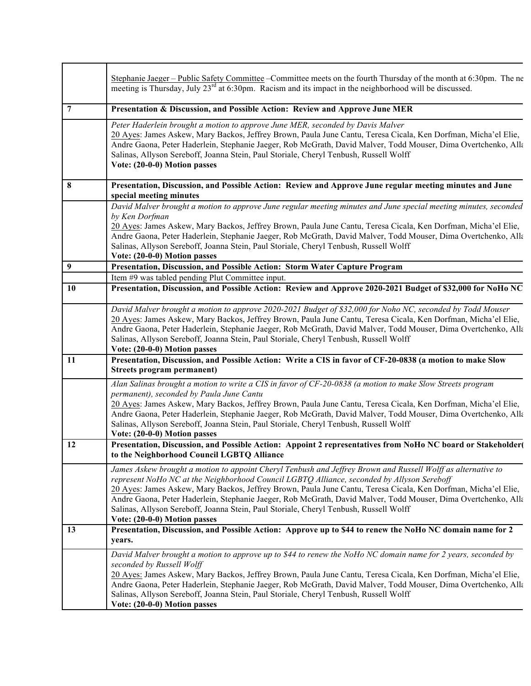|                  | Stephanie Jaeger - Public Safety Committee - Committee meets on the fourth Thursday of the month at 6:30pm. The ne<br>meeting is Thursday, July 23 <sup>rd</sup> at 6:30pm. Racism and its impact in the neighborhood will be discussed.                                                                                                                                                                                                                                                                                                                                |
|------------------|-------------------------------------------------------------------------------------------------------------------------------------------------------------------------------------------------------------------------------------------------------------------------------------------------------------------------------------------------------------------------------------------------------------------------------------------------------------------------------------------------------------------------------------------------------------------------|
| 7                | Presentation & Discussion, and Possible Action: Review and Approve June MER                                                                                                                                                                                                                                                                                                                                                                                                                                                                                             |
|                  | Peter Haderlein brought a motion to approve June MER, seconded by Davis Malver<br>20 Ayes: James Askew, Mary Backos, Jeffrey Brown, Paula June Cantu, Teresa Cicala, Ken Dorfman, Micha'el Elie,<br>Andre Gaona, Peter Haderlein, Stephanie Jaeger, Rob McGrath, David Malver, Todd Mouser, Dima Overtchenko, Alla<br>Salinas, Allyson Sereboff, Joanna Stein, Paul Storiale, Cheryl Tenbush, Russell Wolff<br>Vote: (20-0-0) Motion passes                                                                                                                             |
| 8                | Presentation, Discussion, and Possible Action: Review and Approve June regular meeting minutes and June<br>special meeting minutes                                                                                                                                                                                                                                                                                                                                                                                                                                      |
|                  | David Malver brought a motion to approve June regular meeting minutes and June special meeting minutes, seconded<br>by Ken Dorfman                                                                                                                                                                                                                                                                                                                                                                                                                                      |
|                  | 20 Ayes: James Askew, Mary Backos, Jeffrey Brown, Paula June Cantu, Teresa Cicala, Ken Dorfman, Micha'el Elie,<br>Andre Gaona, Peter Haderlein, Stephanie Jaeger, Rob McGrath, David Malver, Todd Mouser, Dima Overtchenko, Alla<br>Salinas, Allyson Sereboff, Joanna Stein, Paul Storiale, Cheryl Tenbush, Russell Wolff<br>Vote: (20-0-0) Motion passes                                                                                                                                                                                                               |
| $\boldsymbol{9}$ | Presentation, Discussion, and Possible Action: Storm Water Capture Program                                                                                                                                                                                                                                                                                                                                                                                                                                                                                              |
|                  | Item #9 was tabled pending Plut Committee input.                                                                                                                                                                                                                                                                                                                                                                                                                                                                                                                        |
| 10               | Presentation, Discussion, and Possible Action: Review and Approve 2020-2021 Budget of \$32,000 for NoHo NC                                                                                                                                                                                                                                                                                                                                                                                                                                                              |
|                  | David Malver brought a motion to approve 2020-2021 Budget of \$32,000 for Noho NC, seconded by Todd Mouser<br>20 Ayes: James Askew, Mary Backos, Jeffrey Brown, Paula June Cantu, Teresa Cicala, Ken Dorfman, Micha'el Elie,<br>Andre Gaona, Peter Haderlein, Stephanie Jaeger, Rob McGrath, David Malver, Todd Mouser, Dima Overtchenko, Alla<br>Salinas, Allyson Sereboff, Joanna Stein, Paul Storiale, Cheryl Tenbush, Russell Wolff<br>Vote: (20-0-0) Motion passes                                                                                                 |
| 11               | Presentation, Discussion, and Possible Action: Write a CIS in favor of CF-20-0838 (a motion to make Slow<br>Streets program permanent)                                                                                                                                                                                                                                                                                                                                                                                                                                  |
|                  | Alan Salinas brought a motion to write a CIS in favor of CF-20-0838 (a motion to make Slow Streets program<br>permanent), seconded by Paula June Cantu<br>20 Ayes: James Askew, Mary Backos, Jeffrey Brown, Paula June Cantu, Teresa Cicala, Ken Dorfman, Micha'el Elie,<br>Andre Gaona, Peter Haderlein, Stephanie Jaeger, Rob McGrath, David Malver, Todd Mouser, Dima Overtchenko, Alla<br>Salinas, Allyson Sereboff, Joanna Stein, Paul Storiale, Cheryl Tenbush, Russell Wolff<br>Vote: (20-0-0) Motion passes                                                     |
| 12               | Presentation, Discussion, and Possible Action: Appoint 2 representatives from NoHo NC board or Stakeholder<br>to the Neighborhood Council LGBTQ Alliance                                                                                                                                                                                                                                                                                                                                                                                                                |
|                  | James Askew brought a motion to appoint Cheryl Tenbush and Jeffrey Brown and Russell Wolff as alternative to<br>represent NoHo NC at the Neighborhood Council LGBTQ Alliance, seconded by Allyson Sereboff<br>20 Ayes: James Askew, Mary Backos, Jeffrey Brown, Paula June Cantu, Teresa Cicala, Ken Dorfman, Micha'el Elie,<br>Andre Gaona, Peter Haderlein, Stephanie Jaeger, Rob McGrath, David Malver, Todd Mouser, Dima Overtchenko, Alla<br>Salinas, Allyson Sereboff, Joanna Stein, Paul Storiale, Cheryl Tenbush, Russell Wolff<br>Vote: (20-0-0) Motion passes |
| 13               | Presentation, Discussion, and Possible Action: Approve up to \$44 to renew the NoHo NC domain name for 2<br>years.                                                                                                                                                                                                                                                                                                                                                                                                                                                      |
|                  | David Malver brought a motion to approve up to \$44 to renew the NoHo NC domain name for 2 years, seconded by<br>seconded by Russell Wolff<br>20 Ayes: James Askew, Mary Backos, Jeffrey Brown, Paula June Cantu, Teresa Cicala, Ken Dorfman, Micha'el Elie,<br>Andre Gaona, Peter Haderlein, Stephanie Jaeger, Rob McGrath, David Malver, Todd Mouser, Dima Overtchenko, Alla<br>Salinas, Allyson Sereboff, Joanna Stein, Paul Storiale, Cheryl Tenbush, Russell Wolff<br>Vote: (20-0-0) Motion passes                                                                 |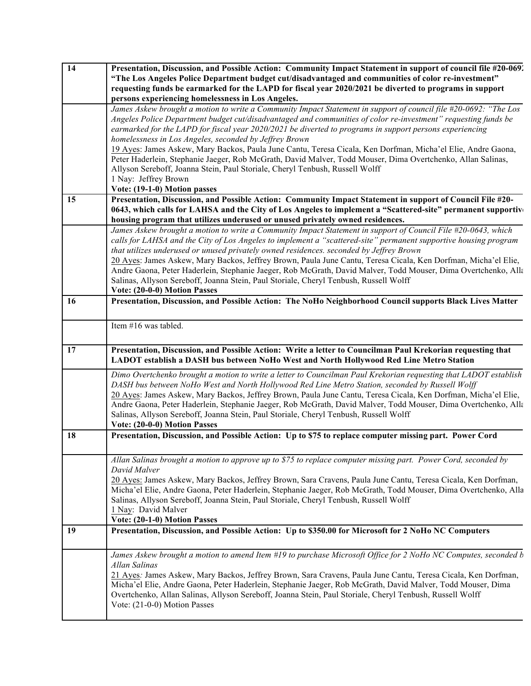| $\overline{14}$ | Presentation, Discussion, and Possible Action: Community Impact Statement in support of council file #20-069.                                                                                                           |
|-----------------|-------------------------------------------------------------------------------------------------------------------------------------------------------------------------------------------------------------------------|
|                 | "The Los Angeles Police Department budget cut/disadvantaged and communities of color re-investment"                                                                                                                     |
|                 | requesting funds be earmarked for the LAPD for fiscal year 2020/2021 be diverted to programs in support                                                                                                                 |
|                 | persons experiencing homelessness in Los Angeles.                                                                                                                                                                       |
|                 | James Askew brought a motion to write a Community Impact Statement in support of council file #20-0692: "The Los                                                                                                        |
|                 | Angeles Police Department budget cut/disadvantaged and communities of color re-investment" requesting funds be                                                                                                          |
|                 | earmarked for the LAPD for fiscal year 2020/2021 be diverted to programs in support persons experiencing                                                                                                                |
|                 | homelessness in Los Angeles, seconded by Jeffrey Brown                                                                                                                                                                  |
|                 | 19 Ayes: James Askew, Mary Backos, Paula June Cantu, Teresa Cicala, Ken Dorfman, Micha'el Elie, Andre Gaona,                                                                                                            |
|                 | Peter Haderlein, Stephanie Jaeger, Rob McGrath, David Malver, Todd Mouser, Dima Overtchenko, Allan Salinas,                                                                                                             |
|                 | Allyson Sereboff, Joanna Stein, Paul Storiale, Cheryl Tenbush, Russell Wolff<br>1 Nay: Jeffrey Brown                                                                                                                    |
|                 | Vote: (19-1-0) Motion passes                                                                                                                                                                                            |
| 15              | Presentation, Discussion, and Possible Action: Community Impact Statement in support of Council File #20-                                                                                                               |
|                 | 0643, which calls for LAHSA and the City of Los Angeles to implement a "Scattered-site" permanent supportive                                                                                                            |
|                 | housing program that utilizes underused or unused privately owned residences.                                                                                                                                           |
|                 | James Askew brought a motion to write a Community Impact Statement in support of Council File #20-0643, which                                                                                                           |
|                 | calls for LAHSA and the City of Los Angeles to implement a "scattered-site" permanent supportive housing program                                                                                                        |
|                 | that utilizes underused or unused privately owned residences. seconded by Jeffrey Brown                                                                                                                                 |
|                 | 20 Ayes: James Askew, Mary Backos, Jeffrey Brown, Paula June Cantu, Teresa Cicala, Ken Dorfman, Micha'el Elie,                                                                                                          |
|                 | Andre Gaona, Peter Haderlein, Stephanie Jaeger, Rob McGrath, David Malver, Todd Mouser, Dima Overtchenko, Alla                                                                                                          |
|                 | Salinas, Allyson Sereboff, Joanna Stein, Paul Storiale, Cheryl Tenbush, Russell Wolff                                                                                                                                   |
|                 | Vote: (20-0-0) Motion Passes                                                                                                                                                                                            |
| 16              | Presentation, Discussion, and Possible Action: The NoHo Neighborhood Council supports Black Lives Matter                                                                                                                |
|                 |                                                                                                                                                                                                                         |
|                 | Item #16 was tabled.                                                                                                                                                                                                    |
|                 |                                                                                                                                                                                                                         |
|                 |                                                                                                                                                                                                                         |
|                 |                                                                                                                                                                                                                         |
| 17              | Presentation, Discussion, and Possible Action: Write a letter to Councilman Paul Krekorian requesting that<br>LADOT establish a DASH bus between NoHo West and North Hollywood Red Line Metro Station                   |
|                 | Dimo Overtchenko brought a motion to write a letter to Councilman Paul Krekorian requesting that LADOT establish                                                                                                        |
|                 | DASH bus between NoHo West and North Hollywood Red Line Metro Station, seconded by Russell Wolff                                                                                                                        |
|                 | 20 Ayes: James Askew, Mary Backos, Jeffrey Brown, Paula June Cantu, Teresa Cicala, Ken Dorfman, Micha'el Elie,                                                                                                          |
|                 | Andre Gaona, Peter Haderlein, Stephanie Jaeger, Rob McGrath, David Malver, Todd Mouser, Dima Overtchenko, Alla                                                                                                          |
|                 | Salinas, Allyson Sereboff, Joanna Stein, Paul Storiale, Cheryl Tenbush, Russell Wolff                                                                                                                                   |
|                 | Vote: (20-0-0) Motion Passes                                                                                                                                                                                            |
| 18              | Presentation, Discussion, and Possible Action: Up to \$75 to replace computer missing part. Power Cord                                                                                                                  |
|                 |                                                                                                                                                                                                                         |
|                 | Allan Salinas brought a motion to approve up to \$75 to replace computer missing part. Power Cord, seconded by                                                                                                          |
|                 | David Malver                                                                                                                                                                                                            |
|                 | 20 Ayes: James Askew, Mary Backos, Jeffrey Brown, Sara Cravens, Paula June Cantu, Teresa Cicala, Ken Dorfman,                                                                                                           |
|                 | Micha'el Elie, Andre Gaona, Peter Haderlein, Stephanie Jaeger, Rob McGrath, Todd Mouser, Dima Overtchenko, Alla                                                                                                         |
|                 | Salinas, Allyson Sereboff, Joanna Stein, Paul Storiale, Cheryl Tenbush, Russell Wolff                                                                                                                                   |
|                 | 1 Nay: David Malver                                                                                                                                                                                                     |
|                 | Vote: (20-1-0) Motion Passes                                                                                                                                                                                            |
| 19              | Presentation, Discussion, and Possible Action: Up to \$350.00 for Microsoft for 2 NoHo NC Computers                                                                                                                     |
|                 |                                                                                                                                                                                                                         |
|                 | James Askew brought a motion to amend Item #19 to purchase Microsoft Office for 2 NoHo NC Computes, seconded b                                                                                                          |
|                 | Allan Salinas                                                                                                                                                                                                           |
|                 | 21 Ayes: James Askew, Mary Backos, Jeffrey Brown, Sara Cravens, Paula June Cantu, Teresa Cicala, Ken Dorfman,                                                                                                           |
|                 | Micha'el Elie, Andre Gaona, Peter Haderlein, Stephanie Jaeger, Rob McGrath, David Malver, Todd Mouser, Dima<br>Overtchenko, Allan Salinas, Allyson Sereboff, Joanna Stein, Paul Storiale, Cheryl Tenbush, Russell Wolff |
|                 | Vote: (21-0-0) Motion Passes                                                                                                                                                                                            |